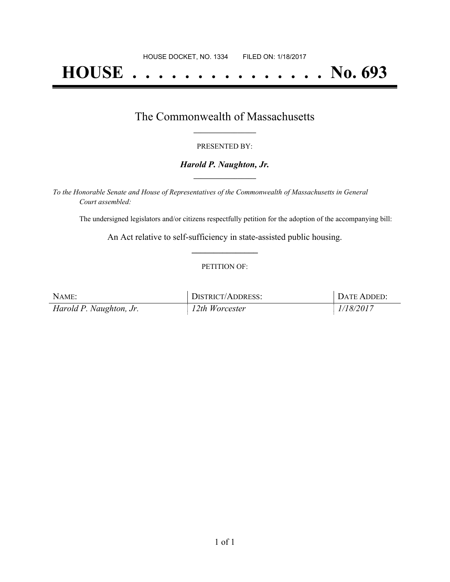# **HOUSE . . . . . . . . . . . . . . . No. 693**

### The Commonwealth of Massachusetts **\_\_\_\_\_\_\_\_\_\_\_\_\_\_\_\_\_**

#### PRESENTED BY:

#### *Harold P. Naughton, Jr.* **\_\_\_\_\_\_\_\_\_\_\_\_\_\_\_\_\_**

*To the Honorable Senate and House of Representatives of the Commonwealth of Massachusetts in General Court assembled:*

The undersigned legislators and/or citizens respectfully petition for the adoption of the accompanying bill:

An Act relative to self-sufficiency in state-assisted public housing. **\_\_\_\_\_\_\_\_\_\_\_\_\_\_\_**

#### PETITION OF:

| NAME:                   | DISTRICT/ADDRESS: | DATE ADDED: |
|-------------------------|-------------------|-------------|
| Harold P. Naughton, Jr. | $12$ th Worcester | 1/18/2017   |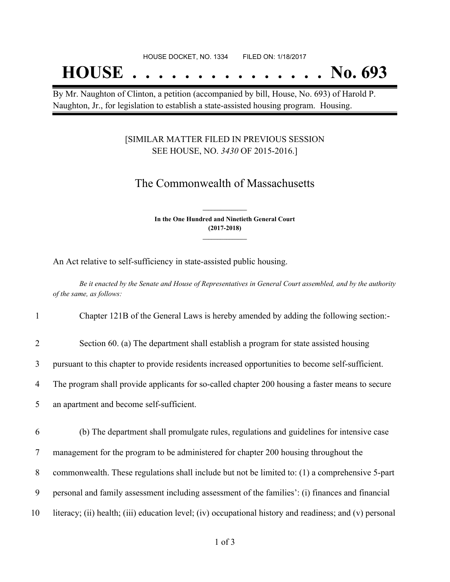## **HOUSE . . . . . . . . . . . . . . . No. 693**

By Mr. Naughton of Clinton, a petition (accompanied by bill, House, No. 693) of Harold P. Naughton, Jr., for legislation to establish a state-assisted housing program. Housing.

#### [SIMILAR MATTER FILED IN PREVIOUS SESSION SEE HOUSE, NO. *3430* OF 2015-2016.]

## The Commonwealth of Massachusetts

**In the One Hundred and Ninetieth General Court (2017-2018) \_\_\_\_\_\_\_\_\_\_\_\_\_\_\_**

**\_\_\_\_\_\_\_\_\_\_\_\_\_\_\_**

An Act relative to self-sufficiency in state-assisted public housing.

Be it enacted by the Senate and House of Representatives in General Court assembled, and by the authority *of the same, as follows:*

1 Chapter 121B of the General Laws is hereby amended by adding the following section:-

2 Section 60. (a) The department shall establish a program for state assisted housing

3 pursuant to this chapter to provide residents increased opportunities to become self-sufficient.

4 The program shall provide applicants for so-called chapter 200 housing a faster means to secure

5 an apartment and become self-sufficient.

6 (b) The department shall promulgate rules, regulations and guidelines for intensive case

7 management for the program to be administered for chapter 200 housing throughout the

8 commonwealth. These regulations shall include but not be limited to: (1) a comprehensive 5-part

9 personal and family assessment including assessment of the families': (i) finances and financial

10 literacy; (ii) health; (iii) education level; (iv) occupational history and readiness; and (v) personal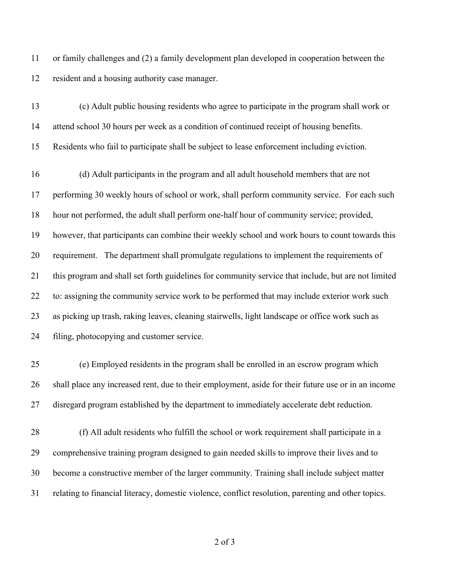or family challenges and (2) a family development plan developed in cooperation between the resident and a housing authority case manager.

 (c) Adult public housing residents who agree to participate in the program shall work or attend school 30 hours per week as a condition of continued receipt of housing benefits. Residents who fail to participate shall be subject to lease enforcement including eviction.

 (d) Adult participants in the program and all adult household members that are not performing 30 weekly hours of school or work, shall perform community service. For each such hour not performed, the adult shall perform one-half hour of community service; provided, however, that participants can combine their weekly school and work hours to count towards this requirement. The department shall promulgate regulations to implement the requirements of this program and shall set forth guidelines for community service that include, but are not limited to: assigning the community service work to be performed that may include exterior work such as picking up trash, raking leaves, cleaning stairwells, light landscape or office work such as filing, photocopying and customer service.

 (e) Employed residents in the program shall be enrolled in an escrow program which shall place any increased rent, due to their employment, aside for their future use or in an income disregard program established by the department to immediately accelerate debt reduction.

 (f) All adult residents who fulfill the school or work requirement shall participate in a comprehensive training program designed to gain needed skills to improve their lives and to become a constructive member of the larger community. Training shall include subject matter relating to financial literacy, domestic violence, conflict resolution, parenting and other topics.